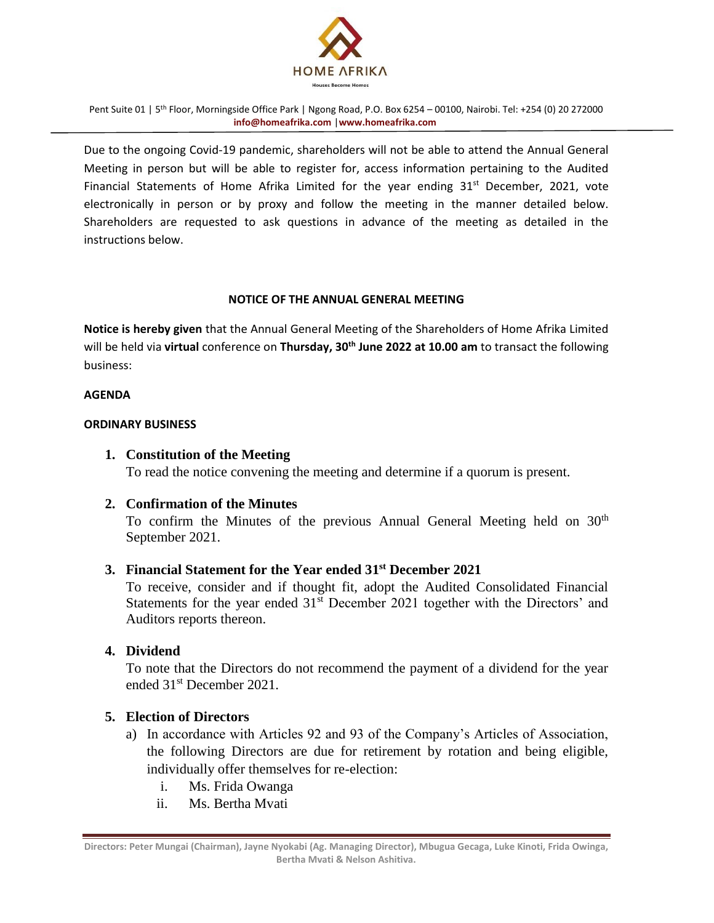

Due to the ongoing Covid-19 pandemic, shareholders will not be able to attend the Annual General Meeting in person but will be able to register for, access information pertaining to the Audited Financial Statements of Home Afrika Limited for the year ending 31<sup>st</sup> December, 2021, vote electronically in person or by proxy and follow the meeting in the manner detailed below. Shareholders are requested to ask questions in advance of the meeting as detailed in the instructions below.

#### **NOTICE OF THE ANNUAL GENERAL MEETING**

**Notice is hereby given** that the Annual General Meeting of the Shareholders of Home Afrika Limited will be held via **virtual** conference on **Thursday, 30th June 2022 at 10.00 am** to transact the following business:

#### **AGENDA**

#### **ORDINARY BUSINESS**

### **1. Constitution of the Meeting**

To read the notice convening the meeting and determine if a quorum is present.

### **2. Confirmation of the Minutes**

To confirm the Minutes of the previous Annual General Meeting held on  $30<sup>th</sup>$ September 2021.

### **3. Financial Statement for the Year ended 31 st December 2021**

To receive, consider and if thought fit, adopt the Audited Consolidated Financial Statements for the year ended 31<sup>st</sup> December 2021 together with the Directors' and Auditors reports thereon.

# **4. Dividend**

To note that the Directors do not recommend the payment of a dividend for the year ended 31st December 2021.

### **5. Election of Directors**

- a) In accordance with Articles 92 and 93 of the Company's Articles of Association, the following Directors are due for retirement by rotation and being eligible, individually offer themselves for re-election:
	- i. Ms. Frida Owanga
	- ii. Ms. Bertha Mvati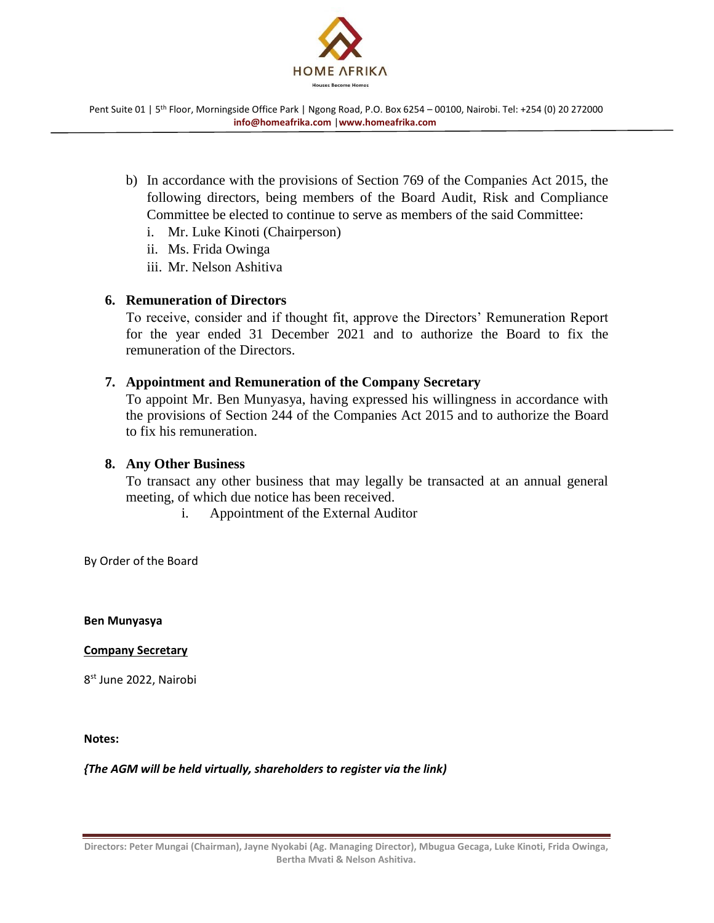

- b) In accordance with the provisions of Section 769 of the Companies Act 2015, the following directors, being members of the Board Audit, Risk and Compliance Committee be elected to continue to serve as members of the said Committee:
	- i. Mr. Luke Kinoti (Chairperson)
	- ii. Ms. Frida Owinga
	- iii. Mr. Nelson Ashitiva

# **6. Remuneration of Directors**

To receive, consider and if thought fit, approve the Directors' Remuneration Report for the year ended 31 December 2021 and to authorize the Board to fix the remuneration of the Directors.

# **7. Appointment and Remuneration of the Company Secretary**

To appoint Mr. Ben Munyasya, having expressed his willingness in accordance with the provisions of Section 244 of the Companies Act 2015 and to authorize the Board to fix his remuneration.

# **8. Any Other Business**

To transact any other business that may legally be transacted at an annual general meeting, of which due notice has been received.

i. Appointment of the External Auditor

By Order of the Board

**Ben Munyasya**

### **Company Secretary**

8<sup>st</sup> June 2022, Nairobi

**Notes:** 

*{The AGM will be held virtually, shareholders to register via the link)*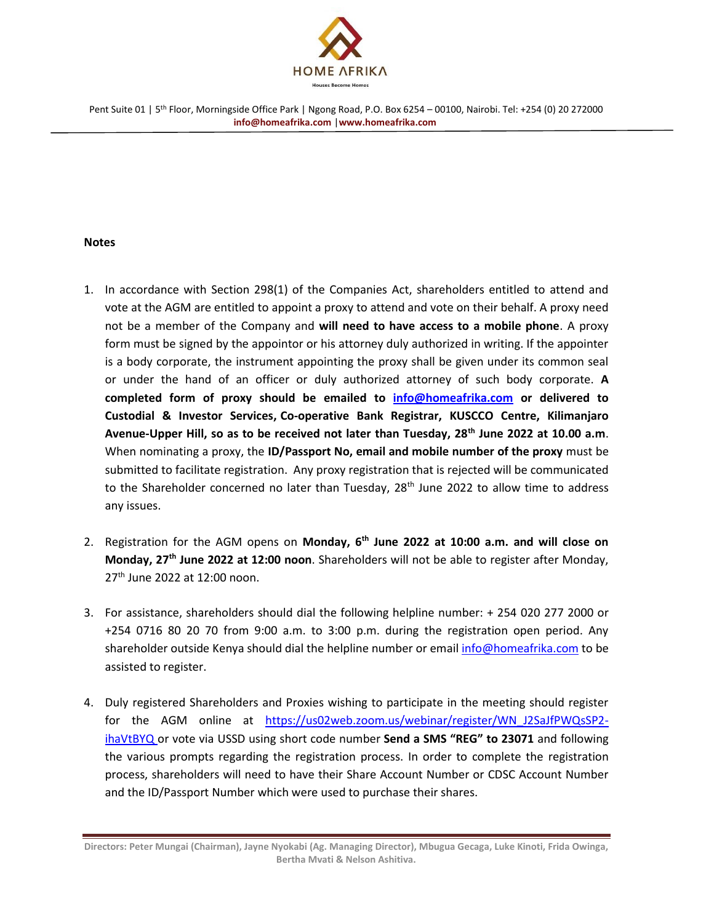

#### **Notes**

- 1. In accordance with Section 298(1) of the Companies Act, shareholders entitled to attend and vote at the AGM are entitled to appoint a proxy to attend and vote on their behalf. A proxy need not be a member of the Company and **will need to have access to a mobile phone**. A proxy form must be signed by the appointor or his attorney duly authorized in writing. If the appointer is a body corporate, the instrument appointing the proxy shall be given under its common seal or under the hand of an officer or duly authorized attorney of such body corporate. **A completed form of proxy should be emailed to [info@homeafrika.com](mailto:info@homeafrika.com) or delivered to Custodial & Investor Services, Co-operative Bank Registrar, KUSCCO Centre, Kilimanjaro Avenue-Upper Hill, so as to be received not later than Tuesday, 28th June 2022 at 10.00 a.m**. When nominating a proxy, the **ID/Passport No, email and mobile number of the proxy** must be submitted to facilitate registration. Any proxy registration that is rejected will be communicated to the Shareholder concerned no later than Tuesday, 28<sup>th</sup> June 2022 to allow time to address any issues.
- 2. Registration for the AGM opens on **Monday, 6 th June 2022 at 10:00 a.m. and will close on Monday, 27th June 2022 at 12:00 noon**. Shareholders will not be able to register after Monday, 27<sup>th</sup> June 2022 at 12:00 noon.
- 3. For assistance, shareholders should dial the following helpline number: + 254 020 277 2000 or +254 0716 80 20 70 from 9:00 a.m. to 3:00 p.m. during the registration open period. Any shareholder outside Kenya should dial the helpline number or email [info@homeafrika.com](mailto:info@homeafrika.com) to be assisted to register.
- 4. Duly registered Shareholders and Proxies wishing to participate in the meeting should register for the AGM online at https://us02web.zoom.us/webinar/register/WN\_J2SaJfPWQsSP2 ihaVtBYQ or vote via USSD using short code number **Send a SMS "REG" to 23071** and following the various prompts regarding the registration process. In order to complete the registration process, shareholders will need to have their Share Account Number or CDSC Account Number and the ID/Passport Number which were used to purchase their shares.

**Directors: Peter Mungai (Chairman), Jayne Nyokabi (Ag. Managing Director), Mbugua Gecaga, Luke Kinoti, Frida Owinga, Bertha Mvati & Nelson Ashitiva.**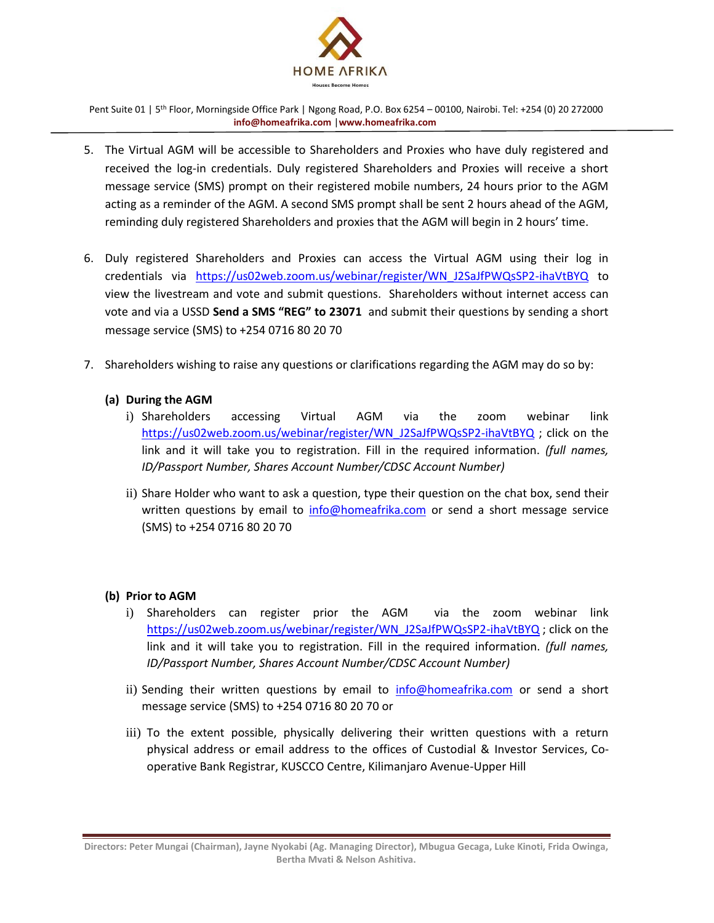

- 5. The Virtual AGM will be accessible to Shareholders and Proxies who have duly registered and received the log-in credentials. Duly registered Shareholders and Proxies will receive a short message service (SMS) prompt on their registered mobile numbers, 24 hours prior to the AGM acting as a reminder of the AGM. A second SMS prompt shall be sent 2 hours ahead of the AGM, reminding duly registered Shareholders and proxies that the AGM will begin in 2 hours' time.
- 6. Duly registered Shareholders and Proxies can access the Virtual AGM using their log in credentials via https://us02web.zoom.us/webinar/register/WN\_J2SaJfPWQsSP2-ihaVtBYQ to view the livestream and vote and submit questions. Shareholders without internet access can vote and via a USSD **Send a SMS "REG" to 23071** and submit their questions by sending a short message service (SMS) to +254 0716 80 20 70
- 7. Shareholders wishing to raise any questions or clarifications regarding the AGM may do so by:
	- **(a) During the AGM**
		- i) Shareholders accessing Virtual AGM via the zoom webinar link [https://us02web.zoom.us/webinar/register/WN\\_J2SaJfPWQsSP2-ihaVtBYQ](https://us02web.zoom.us/webinar/register/WN_J2SaJfPWQsSP2-ihaVtBYQ) ; click on the link and it will take you to registration. Fill in the required information. *(full names, ID/Passport Number, Shares Account Number/CDSC Account Number)*
		- ii) Share Holder who want to ask a question, type their question on the chat box, send their written questions by email to [info@homeafrika.com](mailto:info@homeafrika.com) or send a short message service (SMS) to +254 0716 80 20 70

### **(b) Prior to AGM**

- i) Shareholders can register prior the AGM via the zoom webinar link [https://us02web.zoom.us/webinar/register/WN\\_J2SaJfPWQsSP2-ihaVtBYQ](https://us02web.zoom.us/webinar/register/WN_J2SaJfPWQsSP2-ihaVtBYQ) ; click on the link and it will take you to registration. Fill in the required information. *(full names, ID/Passport Number, Shares Account Number/CDSC Account Number)*
- ii) Sending their written questions by email to **[info@homeafrika.com](mailto:info@homeafrika.com)** or send a short message service (SMS) to +254 0716 80 20 70 or
- iii) To the extent possible, physically delivering their written questions with a return physical address or email address to the offices of Custodial & Investor Services, Cooperative Bank Registrar, KUSCCO Centre, Kilimanjaro Avenue-Upper Hill